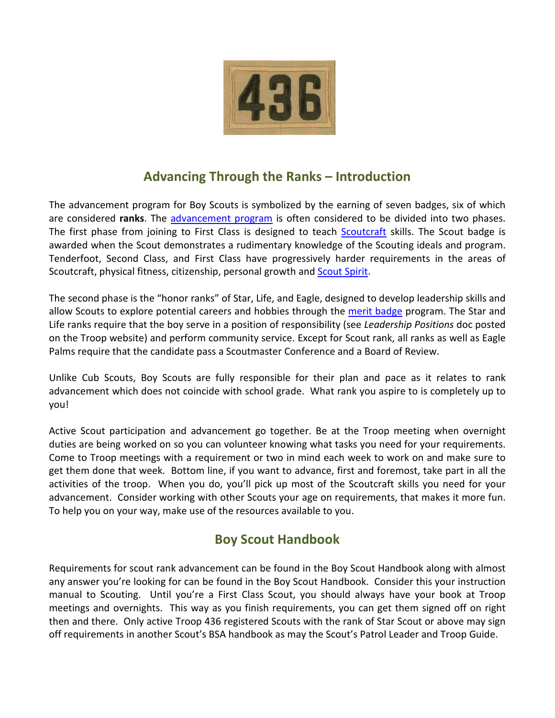

# **Advancing Through the Ranks – Introduction**

The advancement program for Boy Scouts is symbolized by the earning of seven badges, six of which are considered **ranks**. The advancement program is often considered to be divided into two phases. The first phase from joining to First Class is designed to teach **Scoutcraft** skills. The Scout badge is awarded when the Scout demonstrates a rudimentary knowledge of the Scouting ideals and program. Tenderfoot, Second Class, and First Class have progressively harder requirements in the areas of Scoutcraft, physical fitness, citizenship, personal growth and Scout Spirit.

The second phase is the "honor ranks" of Star, Life, and Eagle, designed to develop leadership skills and allow Scouts to explore potential careers and hobbies through the merit badge program. The Star and Life ranks require that the boy serve in a position of responsibility (see *Leadership Positions* doc posted on the Troop website) and perform community service. Except for Scout rank, all ranks as well as Eagle Palms require that the candidate pass a Scoutmaster Conference and a Board of Review.

Unlike Cub Scouts, Boy Scouts are fully responsible for their plan and pace as it relates to rank advancement which does not coincide with school grade. What rank you aspire to is completely up to you!

Active Scout participation and advancement go together. Be at the Troop meeting when overnight duties are being worked on so you can volunteer knowing what tasks you need for your requirements. Come to Troop meetings with a requirement or two in mind each week to work on and make sure to get them done that week. Bottom line, if you want to advance, first and foremost, take part in all the activities of the troop. When you do, you'll pick up most of the Scoutcraft skills you need for your advancement. Consider working with other Scouts your age on requirements, that makes it more fun. To help you on your way, make use of the resources available to you.

# **Boy Scout Handbook**

Requirements for scout rank advancement can be found in the Boy Scout Handbook along with almost any answer you're looking for can be found in the Boy Scout Handbook. Consider this your instruction manual to Scouting. Until you're a First Class Scout, you should always have your book at Troop meetings and overnights. This way as you finish requirements, you can get them signed off on right then and there. Only active Troop 436 registered Scouts with the rank of Star Scout or above may sign off requirements in another Scout's BSA handbook as may the Scout's Patrol Leader and Troop Guide.